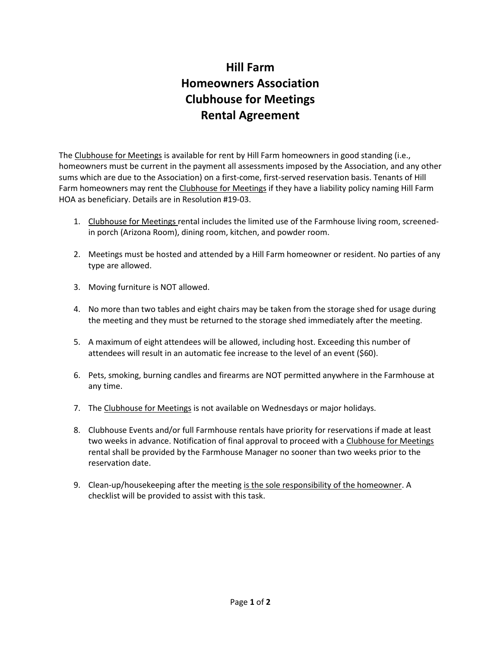## **Hill Farm Homeowners Association Clubhouse for Meetings Rental Agreement**

The Clubhouse for Meetings is available for rent by Hill Farm homeowners in good standing (i.e., homeowners must be current in the payment all assessments imposed by the Association, and any other sums which are due to the Association) on a first-come, first-served reservation basis. Tenants of Hill Farm homeowners may rent the Clubhouse for Meetings if they have a liability policy naming Hill Farm HOA as beneficiary. Details are in Resolution #19-03.

- 1. Clubhouse for Meetings rental includes the limited use of the Farmhouse living room, screenedin porch (Arizona Room), dining room, kitchen, and powder room.
- 2. Meetings must be hosted and attended by a Hill Farm homeowner or resident. No parties of any type are allowed.
- 3. Moving furniture is NOT allowed.
- 4. No more than two tables and eight chairs may be taken from the storage shed for usage during the meeting and they must be returned to the storage shed immediately after the meeting.
- 5. A maximum of eight attendees will be allowed, including host. Exceeding this number of attendees will result in an automatic fee increase to the level of an event (\$60).
- 6. Pets, smoking, burning candles and firearms are NOT permitted anywhere in the Farmhouse at any time.
- 7. The Clubhouse for Meetings is not available on Wednesdays or major holidays.
- 8. Clubhouse Events and/or full Farmhouse rentals have priority for reservations if made at least two weeks in advance. Notification of final approval to proceed with a Clubhouse for Meetings rental shall be provided by the Farmhouse Manager no sooner than two weeks prior to the reservation date.
- 9. Clean-up/housekeeping after the meeting is the sole responsibility of the homeowner. A checklist will be provided to assist with this task.